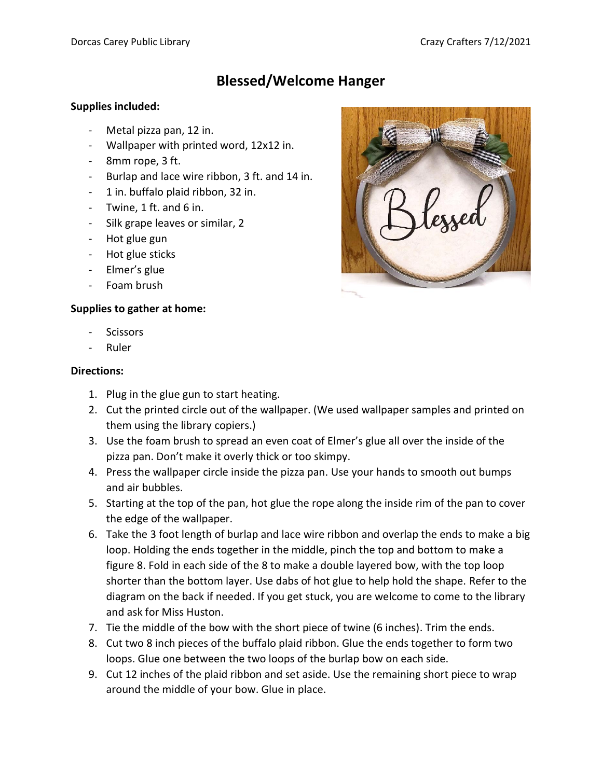# **Blessed/Welcome Hanger**

#### **Supplies included:**

- Metal pizza pan, 12 in.
- Wallpaper with printed word, 12x12 in.
- 8mm rope, 3 ft.
- Burlap and lace wire ribbon, 3 ft. and 14 in.
- 1 in. buffalo plaid ribbon, 32 in.
- Twine,  $1$  ft. and  $6$  in.
- Silk grape leaves or similar, 2
- Hot glue gun
- Hot glue sticks
- Elmer's glue
- Foam brush

### **Supplies to gather at home:**

- Scissors
- Ruler

### **Directions:**

- 1. Plug in the glue gun to start heating.
- 2. Cut the printed circle out of the wallpaper. (We used wallpaper samples and printed on them using the library copiers.)
- 3. Use the foam brush to spread an even coat of Elmer's glue all over the inside of the pizza pan. Don't make it overly thick or too skimpy.
- 4. Press the wallpaper circle inside the pizza pan. Use your hands to smooth out bumps and air bubbles.
- 5. Starting at the top of the pan, hot glue the rope along the inside rim of the pan to cover the edge of the wallpaper.
- 6. Take the 3 foot length of burlap and lace wire ribbon and overlap the ends to make a big loop. Holding the ends together in the middle, pinch the top and bottom to make a figure 8. Fold in each side of the 8 to make a double layered bow, with the top loop shorter than the bottom layer. Use dabs of hot glue to help hold the shape. Refer to the diagram on the back if needed. If you get stuck, you are welcome to come to the library and ask for Miss Huston.
- 7. Tie the middle of the bow with the short piece of twine (6 inches). Trim the ends.
- 8. Cut two 8 inch pieces of the buffalo plaid ribbon. Glue the ends together to form two loops. Glue one between the two loops of the burlap bow on each side.
- 9. Cut 12 inches of the plaid ribbon and set aside. Use the remaining short piece to wrap around the middle of your bow. Glue in place.